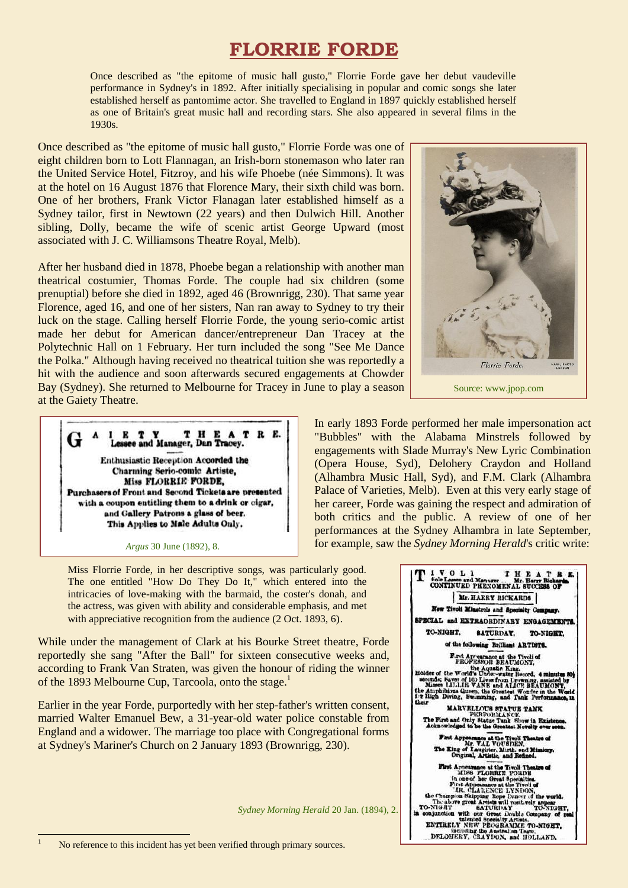# **FLORRIE FORDE**

Once described as "the epitome of music hall gusto," Florrie Forde gave her debut vaudeville performance in Sydney's in 1892. After initially specialising in popular and comic songs she later established herself as pantomime actor. She travelled to England in 1897 quickly established herself as one of Britain's great music hall and recording stars. She also appeared in several films in the 1930s.

Once described as "the epitome of music hall gusto," Florrie Forde was one of eight children born to Lott Flannagan, an Irish-born stonemason who later ran the United Service Hotel, Fitzroy, and his wife Phoebe (née Simmons). It was at the hotel on 16 August 1876 that Florence Mary, their sixth child was born. One of her brothers, Frank Victor Flanagan later established himself as a Sydney tailor, first in Newtown (22 years) and then Dulwich Hill. Another sibling, Dolly, became the wife of scenic artist George Upward (most associated with J. C. Williamsons Theatre Royal, Melb).

After her husband died in 1878, Phoebe began a relationship with another man theatrical costumier, Thomas Forde. The couple had six children (some prenuptial) before she died in 1892, aged 46 (Brownrigg, 230). That same year Florence, aged 16, and one of her sisters, Nan ran away to Sydney to try their luck on the stage. Calling herself Florrie Forde, the young serio-comic artist made her debut for American dancer/entrepreneur Dan Tracey at the Polytechnic Hall on 1 February. Her turn included the song "See Me Dance the Polka." Although having received no theatrical tuition she was reportedly a hit with the audience and soon afterwards secured engagements at Chowder Bay (Sydney). She returned to Melbourne for Tracey in June to play a season at the Gaiety Theatre.

THEATRE. 1 E T Y Lessee and Manager, Dan Tracey. Enthusiastic Reception Accorded the **Charming Serio-comic Artiste,** Miss FLORRIE FORDE. Purchasers of Front and Second Tickets are presented with a coupon entitling them to a drink or cigar, and Gallery Patrons a glass of beer. This Applies to Male Adults Only.

#### *Argus* 30 June (1892), 8.

Miss Florrie Forde, in her descriptive songs, was particularly good. The one entitled "How Do They Do It," which entered into the intricacies of love-making with the barmaid, the coster's donah, and the actress, was given with ability and considerable emphasis, and met with appreciative recognition from the audience (2 Oct. 1893, 6).

While under the management of Clark at his Bourke Street theatre, Forde reportedly she sang "After the Ball" for sixteen consecutive weeks and, according to Frank Van Straten, was given the honour of riding the winner of the 1893 Melbourne Cup, Tarcoola, onto the stage.<sup>1</sup>

Earlier in the year Forde, purportedly with her step-father's written consent, married Walter Emanuel Bew, a 31-year-old water police constable from England and a widower. The marriage too place with Congregational forms at Sydney's Mariner's Church on 2 January 1893 (Brownrigg, 230).

*Sydney Morning Herald* 20 Jan. (1894), 2.



Source: www.jpop.com

In early 1893 Forde performed her male impersonation act "Bubbles" with the Alabama Minstrels followed by engagements with Slade Murray's New Lyric Combination (Opera House, Syd), Delohery Craydon and Holland (Alhambra Music Hall, Syd), and F.M. Clark (Alhambra Palace of Varieties, Melb). Even at this very early stage of her career, Forde was gaining the respect and admiration of both critics and the public. A review of one of her performances at the Sydney Alhambra in late September, for example, saw the *Sydney Morning Herald*'s critic write:



1

No reference to this incident has yet been verified through primary sources.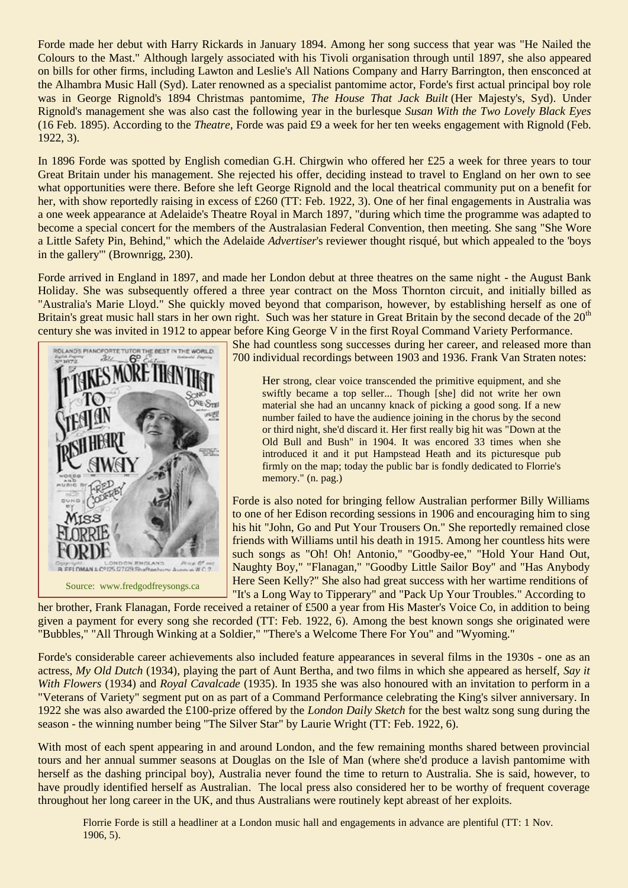Forde made her debut with Harry Rickards in January 1894. Among her song success that year was "He Nailed the Colours to the Mast." Although largely associated with his Tivoli organisation through until 1897, she also appeared on bills for other firms, including Lawton and Leslie's All Nations Company and Harry Barrington, then ensconced at the Alhambra Music Hall (Syd). Later renowned as a specialist pantomime actor, Forde's first actual principal boy role was in George Rignold's 1894 Christmas pantomime, *The House That Jack Built* (Her Majesty's, Syd). Under Rignold's management she was also cast the following year in the burlesque *Susan With the Two Lovely Black Eyes* (16 Feb. 1895). According to the *Theatre,* Forde was paid £9 a week for her ten weeks engagement with Rignold (Feb. 1922, 3).

In 1896 Forde was spotted by English comedian G.H. Chirgwin who offered her £25 a week for three years to tour Great Britain under his management. She rejected his offer, deciding instead to travel to England on her own to see what opportunities were there. Before she left George Rignold and the local theatrical community put on a benefit for her, with show reportedly raising in excess of £260 (TT: Feb. 1922, 3). One of her final engagements in Australia was a one week appearance at Adelaide's Theatre Royal in March 1897, "during which time the programme was adapted to become a special concert for the members of the Australasian Federal Convention, then meeting. She sang "She Wore a Little Safety Pin, Behind," which the Adelaide *Advertiser*'s reviewer thought risqué, but which appealed to the 'boys in the gallery'" (Brownrigg, 230).

Forde arrived in England in 1897, and made her London debut at three theatres on the same night - the August Bank Holiday. She was subsequently offered a three year contract on the Moss Thornton circuit, and initially billed as "Australia's Marie Lloyd." She quickly moved beyond that comparison, however, by establishing herself as one of Britain's great music hall stars in her own right. Such was her stature in Great Britain by the second decade of the 20<sup>th</sup> century she was invited in 1912 to appear before King George V in the first Royal Command Variety Performance.



Source: www.fredgodfreysongs.ca

She had countless song successes during her career, and released more than 700 individual recordings between 1903 and 1936. Frank Van Straten notes:

Her strong, clear voice transcended the primitive equipment, and she swiftly became a top seller... Though [she] did not write her own material she had an uncanny knack of picking a good song. If a new number failed to have the audience joining in the chorus by the second or third night, she'd discard it. Her first really big hit was "Down at the Old Bull and Bush" in 1904. It was encored 33 times when she introduced it and it put Hampstead Heath and its picturesque pub firmly on the map; today the public bar is fondly dedicated to Florrie's memory." (n. pag.)

Forde is also noted for bringing fellow Australian performer Billy Williams to one of her Edison recording sessions in 1906 and encouraging him to sing his hit "John, Go and Put Your Trousers On." She reportedly remained close friends with Williams until his death in 1915. Among her countless hits were such songs as "Oh! Oh! Antonio," "Goodby-ee," "Hold Your Hand Out, Naughty Boy," "Flanagan," "Goodby Little Sailor Boy" and "Has Anybody Here Seen Kelly?" She also had great success with her wartime renditions of "It's a Long Way to Tipperary" and "Pack Up Your Troubles." According to

her brother, Frank Flanagan, Forde received a retainer of £500 a year from His Master's Voice Co, in addition to being given a payment for every song she recorded (TT: Feb. 1922, 6). Among the best known songs she originated were "Bubbles," "All Through Winking at a Soldier," "There's a Welcome There For You" and "Wyoming."

Forde's considerable career achievements also included feature appearances in several films in the 1930s - one as an actress, *My Old Dutch* (1934), playing the part of Aunt Bertha, and two films in which she appeared as herself, *Say it With Flowers* (1934) and *Royal Cavalcade* (1935). In 1935 she was also honoured with an invitation to perform in a "Veterans of Variety" segment put on as part of a Command Performance celebrating the King's silver anniversary. In 1922 she was also awarded the £100-prize offered by the *London Daily Sketch* for the best waltz song sung during the season - the winning number being "The Silver Star" by Laurie Wright (TT: Feb. 1922, 6).

With most of each spent appearing in and around London, and the few remaining months shared between provincial tours and her annual summer seasons at Douglas on the Isle of Man (where she'd produce a lavish pantomime with herself as the dashing principal boy), Australia never found the time to return to Australia. She is said, however, to have proudly identified herself as Australian. The local press also considered her to be worthy of frequent coverage throughout her long career in the UK, and thus Australians were routinely kept abreast of her exploits.

Florrie Forde is still a headliner at a London music hall and engagements in advance are plentiful (TT: 1 Nov. 1906, 5).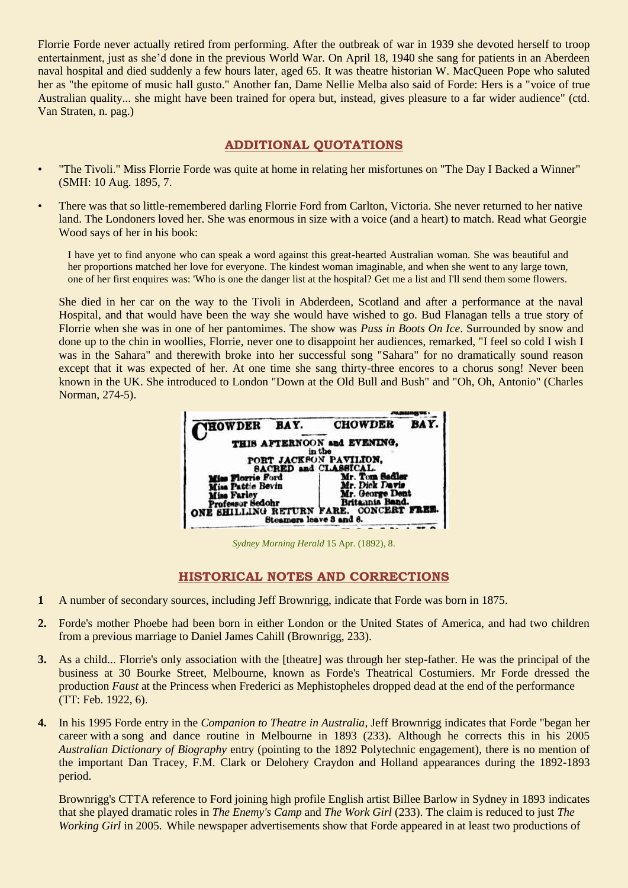Florrie Forde never actually retired from performing. After the outbreak of war in 1939 she devoted herself to troop entertainment, just as she'd done in the previous World War. On April 18, 1940 she sang for patients in an Aberdeen naval hospital and died suddenly a few hours later, aged 65. It was theatre historian W. MacQueen Pope who saluted her as "the epitome of music hall gusto." Another fan, Dame Nellie Melba also said of Forde: Hers is a "voice of true Australian quality... she might have been trained for opera but, instead, gives pleasure to a far wider audience" (ctd. Van Straten, n. pag.)

## **ADDITIONAL QUOTATIONS**

- "The Tivoli." Miss Florrie Forde was quite at home in relating her misfortunes on "The Day I Backed a Winner" (SMH: 10 Aug. 1895, 7.
- There was that so little-remembered darling Florrie Ford from Carlton, Victoria. She never returned to her native land. The Londoners loved her. She was enormous in size with a voice (and a heart) to match. Read what Georgie Wood says of her in his book:

I have yet to find anyone who can speak a word against this great-hearted Australian woman. She was beautiful and her proportions matched her love for everyone. The kindest woman imaginable, and when she went to any large town, one of her first enquires was: 'Who is one the danger list at the hospital? Get me a list and I'll send them some flowers.

She died in her car on the way to the Tivoli in Abderdeen, Scotland and after a performance at the naval Hospital, and that would have been the way she would have wished to go. Bud Flanagan tells a true story of Florrie when she was in one of her pantomimes. The show was *Puss in Boots On Ice*. Surrounded by snow and done up to the chin in woollies, Florrie, never one to disappoint her audiences, remarked, "I feel so cold I wish I was in the Sahara" and therewith broke into her successful song "Sahara" for no dramatically sound reason except that it was expected of her. At one time she sang thirty-three encores to a chorus song! Never been known in the UK. She introduced to London "Down at the Old Bull and Bush" and "Oh, Oh, Antonio" (Charles Norman, 274-5).



*Sydney Morning Herald* 15 Apr. (1892), 8.

## **HISTORICAL NOTES AND CORRECTIONS**

- **1** A number of secondary sources, including Jeff Brownrigg, indicate that Forde was born in 1875.
- **2.** Forde's mother Phoebe had been born in either London or the United States of America, and had two children from a previous marriage to Daniel James Cahill (Brownrigg, 233).
- **3.** As a child... Florrie's only association with the [theatre] was through her step-father. He was the principal of the business at 30 Bourke Street, Melbourne, known as Forde's Theatrical Costumiers. Mr Forde dressed the production *Faust* at the Princess when Frederici as Mephistopheles dropped dead at the end of the performance (TT: Feb. 1922, 6).
- **4.** In his 1995 Forde entry in the *Companion to Theatre in Australia*, Jeff Brownrigg indicates that Forde "began her career with a song and dance routine in Melbourne in 1893 (233). Although he corrects this in his 2005 *Australian Dictionary of Biography* entry (pointing to the 1892 Polytechnic engagement), there is no mention of the important Dan Tracey, F.M. Clark or Delohery Craydon and Holland appearances during the 1892-1893 period.

Brownrigg's CTTA reference to Ford joining high profile English artist Billee Barlow in Sydney in 1893 indicates that she played dramatic roles in *The Enemy's Camp* and *The Work Girl* (233). The claim is reduced to just *The Working Girl* in 2005. While newspaper advertisements show that Forde appeared in at least two productions of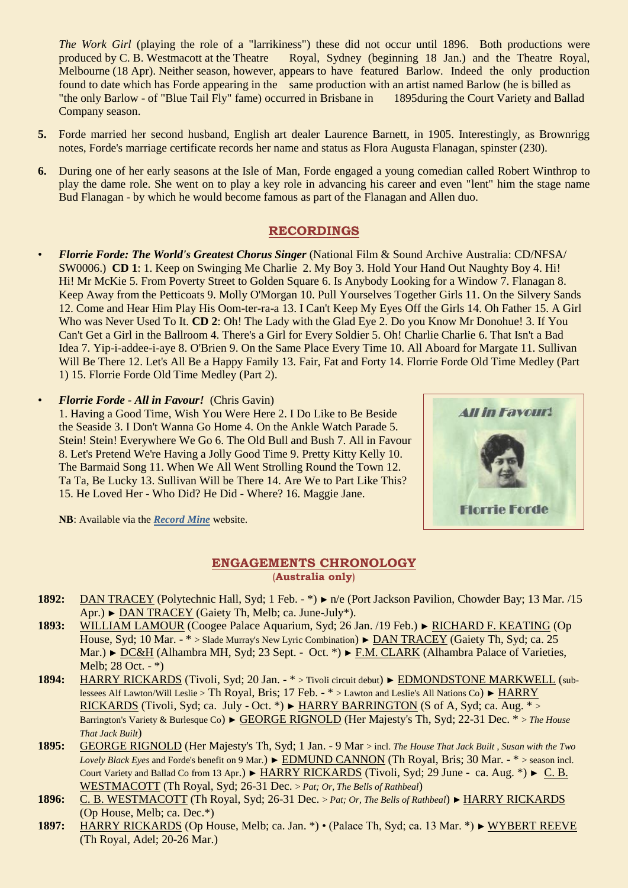*The Work Girl* (playing the role of a "larrikiness") these did not occur until 1896. Both productions were produced by C. B. Westmacott at the Theatre Royal, Sydney (beginning 18 Jan.) and the Theatre Royal, Melbourne (18 Apr). Neither season, however, appears to have featured Barlow. Indeed the only production found to date which has Forde appearing in the same production with an artist named Barlow (he is billed as "the only Barlow - of "Blue Tail Fly" fame) occurred in Brisbane in 1895during the Court Variety and Ballad Company season.

- **5.** Forde married her second husband, English art dealer Laurence Barnett, in 1905. Interestingly, as Brownrigg notes, Forde's marriage certificate records her name and status as Flora Augusta Flanagan, spinster (230).
- **6.** During one of her early seasons at the Isle of Man, Forde engaged a young comedian called Robert Winthrop to play the dame role. She went on to play a key role in advancing his career and even "lent" him the stage name Bud Flanagan - by which he would become famous as part of the Flanagan and Allen duo.

## **RECORDINGS**

- *Florrie Forde: The World's Greatest Chorus Singer* (National Film & Sound Archive Australia: CD/NFSA/ SW0006.) **CD 1**: 1. Keep on Swinging Me Charlie 2. My Boy 3. Hold Your Hand Out Naughty Boy 4. Hi! Hi! Mr McKie 5. From Poverty Street to Golden Square 6. Is Anybody Looking for a Window 7. Flanagan 8. Keep Away from the Petticoats 9. Molly O'Morgan 10. Pull Yourselves Together Girls 11. On the Silvery Sands 12. Come and Hear Him Play His Oom-ter-ra-a 13. I Can't Keep My Eyes Off the Girls 14. Oh Father 15. A Girl Who was Never Used To It. **CD 2**: Oh! The Lady with the Glad Eye 2. Do you Know Mr Donohue! 3. If You Can't Get a Girl in the Ballroom 4. There's a Girl for Every Soldier 5. Oh! Charlie Charlie 6. That Isn't a Bad Idea 7. Yip-i-addee-i-aye 8. O'Brien 9. On the Same Place Every Time 10. All Aboard for Margate 11. Sullivan Will Be There 12. Let's All Be a Happy Family 13. Fair, Fat and Forty 14. Florrie Forde Old Time Medley (Part 1) 15. Florrie Forde Old Time Medley (Part 2).
- *Florrie Forde - All in Favour!* (Chris Gavin)

1. Having a Good Time, Wish You Were Here 2. I Do Like to Be Beside the Seaside 3. I Don't Wanna Go Home 4. On the Ankle Watch Parade 5. Stein! Stein! Everywhere We Go 6. The Old Bull and Bush 7. All in Favour 8. Let's Pretend We're Having a Jolly Good Time 9. Pretty Kitty Kelly 10. The Barmaid Song 11. When We All Went Strolling Round the Town 12. Ta Ta, Be Lucky 13. Sullivan Will be There 14. Are We to Part Like This? 15. He Loved Her - Who Did? He Did - Where? 16. Maggie Jane.



**NB**: Available via the *[Record Mine](http://www.therecordmine.com/cd_image/florrie_forde_notes.htm)* website.

## **ENGAGEMENTS CHRONOLOGY** (**Australia only**)

- **1892:** DAN TRACEY (Polytechnic Hall, Syd; 1 Feb. \*) ► n/e (Port Jackson Pavilion, Chowder Bay; 13 Mar. /15 Apr.) ► DAN TRACEY (Gaiety Th, Melb; ca. June-July\*).
- **1893:** WILLIAM LAMOUR (Coogee Palace Aquarium, Syd; 26 Jan. /19 Feb.) ► RICHARD F. KEATING (Op House, Syd; 10 Mar. - \* > Slade Murray's New Lyric Combination) ► DAN TRACEY (Gaiety Th, Syd; ca. 25 Mar.) ► DC&H (Alhambra MH, Syd; 23 Sept. - Oct. \*) ► F.M. CLARK (Alhambra Palace of Varieties, Melb; 28 Oct. - \*)
- **1894:** HARRY RICKARDS (Tivoli, Syd; 20 Jan. \* > Tivoli circuit debut) ► EDMONDSTONE MARKWELL (sublessees Alf Lawton/Will Leslie > Th Royal, Bris; 17 Feb. - \* > Lawton and Leslie's All Nations Co) ► HARRY RICKARDS (Tivoli, Syd; ca. July - Oct. \*)  $\blacktriangleright$  HARRY BARRINGTON (S of A, Syd; ca. Aug. \* > Barrington's Variety & Burlesque Co) ► GEORGE RIGNOLD (Her Majesty's Th, Syd; 22-31 Dec. \* > *The House That Jack Built*)
- **1895:** GEORGE RIGNOLD (Her Majesty's Th, Syd; 1 Jan. 9 Mar > incl. *The House That Jack Built* , *Susan with the Two Lovely Black Eyes* and Forde's benefit on 9 Mar.) ► EDMUND CANNON (Th Royal, Bris; 30 Mar. - \* > season incl. Court Variety and Ballad Co from 13 Apr.) ► HARRY RICKARDS (Tivoli, Syd; 29 June - ca. Aug. \*) ► C. B. WESTMACOTT (Th Royal, Syd; 26-31 Dec. > *Pat; Or, The Bells of Rathbeal*)
- **1896:** C. B. WESTMACOTT (Th Royal, Syd; 26-31 Dec. > *Pat; Or, The Bells of Rathbeal*) ► HARRY RICKARDS (Op House, Melb; ca. Dec.\*)
- **1897:** HARRY RICKARDS (Op House, Melb; ca. Jan. \*) (Palace Th, Syd; ca. 13 Mar. \*) ► WYBERT REEVE (Th Royal, Adel; 20-26 Mar.)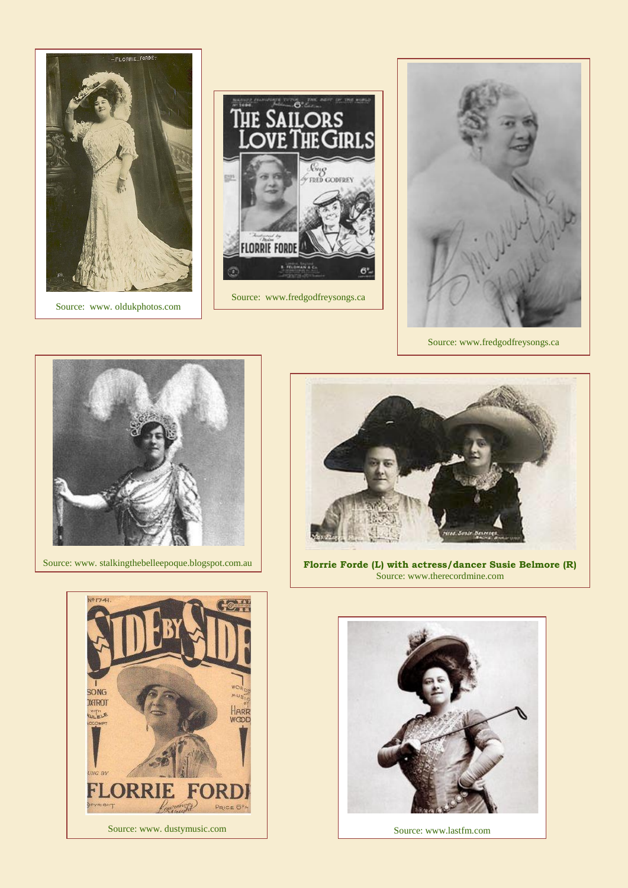

Source: www. oldukphotos.com



Source: www.fredgodfreysongs.ca



Source: www.fredgodfreysongs.ca



Source: www. stalkingthebelleepoque.blogspot.com.au



**Florrie Forde (L) with actress/dancer Susie Belmore (R)** Source: www.therecordmine.com